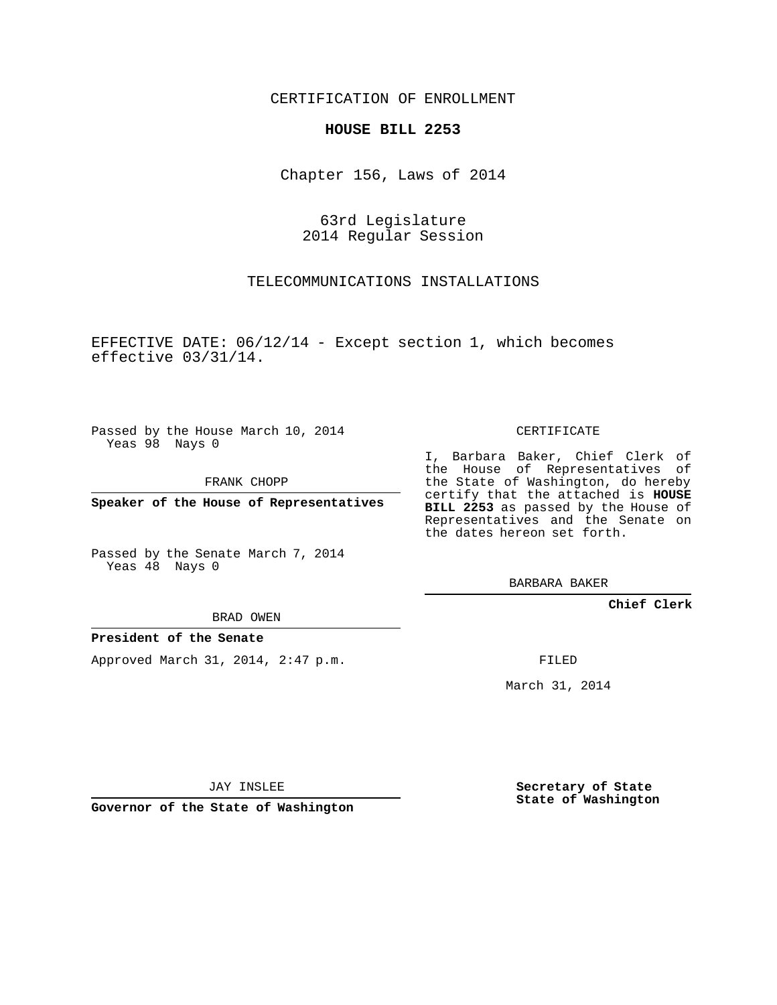CERTIFICATION OF ENROLLMENT

#### **HOUSE BILL 2253**

Chapter 156, Laws of 2014

### 63rd Legislature 2014 Regular Session

#### TELECOMMUNICATIONS INSTALLATIONS

EFFECTIVE DATE: 06/12/14 - Except section 1, which becomes effective 03/31/14.

Passed by the House March 10, 2014 Yeas 98 Nays 0

FRANK CHOPP

**Speaker of the House of Representatives**

Passed by the Senate March 7, 2014 Yeas 48 Nays 0

CERTIFICATE

I, Barbara Baker, Chief Clerk of the House of Representatives of the State of Washington, do hereby certify that the attached is **HOUSE BILL 2253** as passed by the House of Representatives and the Senate on the dates hereon set forth.

BARBARA BAKER

**Chief Clerk**

BRAD OWEN

#### **President of the Senate**

Approved March 31, 2014, 2:47 p.m.

FILED

March 31, 2014

JAY INSLEE

**Governor of the State of Washington**

**Secretary of State State of Washington**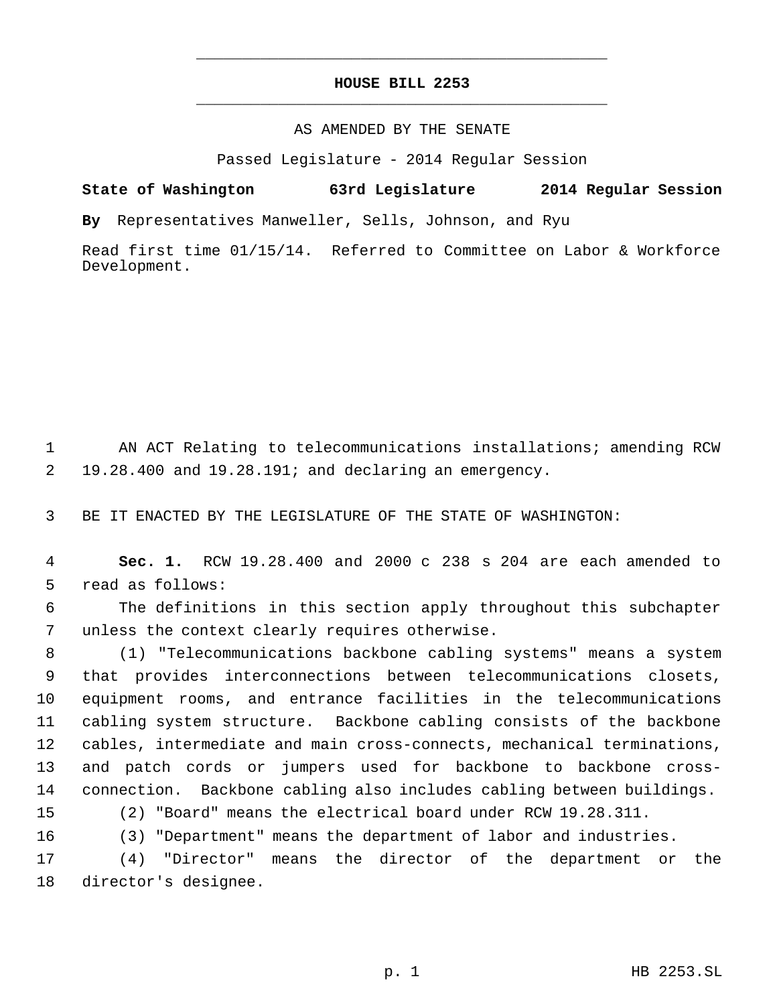## **HOUSE BILL 2253** \_\_\_\_\_\_\_\_\_\_\_\_\_\_\_\_\_\_\_\_\_\_\_\_\_\_\_\_\_\_\_\_\_\_\_\_\_\_\_\_\_\_\_\_\_

\_\_\_\_\_\_\_\_\_\_\_\_\_\_\_\_\_\_\_\_\_\_\_\_\_\_\_\_\_\_\_\_\_\_\_\_\_\_\_\_\_\_\_\_\_

#### AS AMENDED BY THE SENATE

Passed Legislature - 2014 Regular Session

## **State of Washington 63rd Legislature 2014 Regular Session**

**By** Representatives Manweller, Sells, Johnson, and Ryu

Read first time 01/15/14. Referred to Committee on Labor & Workforce Development.

 AN ACT Relating to telecommunications installations; amending RCW 19.28.400 and 19.28.191; and declaring an emergency.

BE IT ENACTED BY THE LEGISLATURE OF THE STATE OF WASHINGTON:

 **Sec. 1.** RCW 19.28.400 and 2000 c 238 s 204 are each amended to read as follows:

 The definitions in this section apply throughout this subchapter unless the context clearly requires otherwise.

 (1) "Telecommunications backbone cabling systems" means a system that provides interconnections between telecommunications closets, equipment rooms, and entrance facilities in the telecommunications cabling system structure. Backbone cabling consists of the backbone cables, intermediate and main cross-connects, mechanical terminations, and patch cords or jumpers used for backbone to backbone cross-connection. Backbone cabling also includes cabling between buildings.

(2) "Board" means the electrical board under RCW 19.28.311.

(3) "Department" means the department of labor and industries.

 (4) "Director" means the director of the department or the director's designee.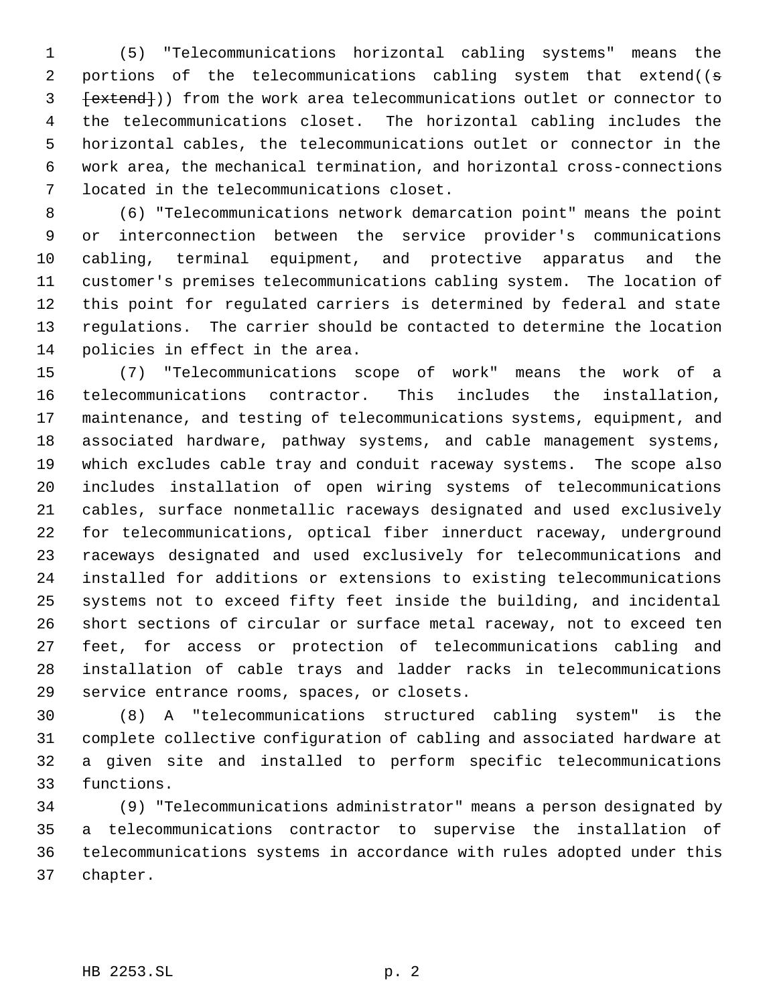(5) "Telecommunications horizontal cabling systems" means the 2 portions of the telecommunications cabling system that extend((s 3 [extend])) from the work area telecommunications outlet or connector to the telecommunications closet. The horizontal cabling includes the horizontal cables, the telecommunications outlet or connector in the work area, the mechanical termination, and horizontal cross-connections located in the telecommunications closet.

 (6) "Telecommunications network demarcation point" means the point or interconnection between the service provider's communications cabling, terminal equipment, and protective apparatus and the customer's premises telecommunications cabling system. The location of this point for regulated carriers is determined by federal and state regulations. The carrier should be contacted to determine the location policies in effect in the area.

 (7) "Telecommunications scope of work" means the work of a telecommunications contractor. This includes the installation, maintenance, and testing of telecommunications systems, equipment, and associated hardware, pathway systems, and cable management systems, which excludes cable tray and conduit raceway systems. The scope also includes installation of open wiring systems of telecommunications cables, surface nonmetallic raceways designated and used exclusively for telecommunications, optical fiber innerduct raceway, underground raceways designated and used exclusively for telecommunications and installed for additions or extensions to existing telecommunications systems not to exceed fifty feet inside the building, and incidental short sections of circular or surface metal raceway, not to exceed ten feet, for access or protection of telecommunications cabling and installation of cable trays and ladder racks in telecommunications service entrance rooms, spaces, or closets.

 (8) A "telecommunications structured cabling system" is the complete collective configuration of cabling and associated hardware at a given site and installed to perform specific telecommunications functions.

 (9) "Telecommunications administrator" means a person designated by a telecommunications contractor to supervise the installation of telecommunications systems in accordance with rules adopted under this chapter.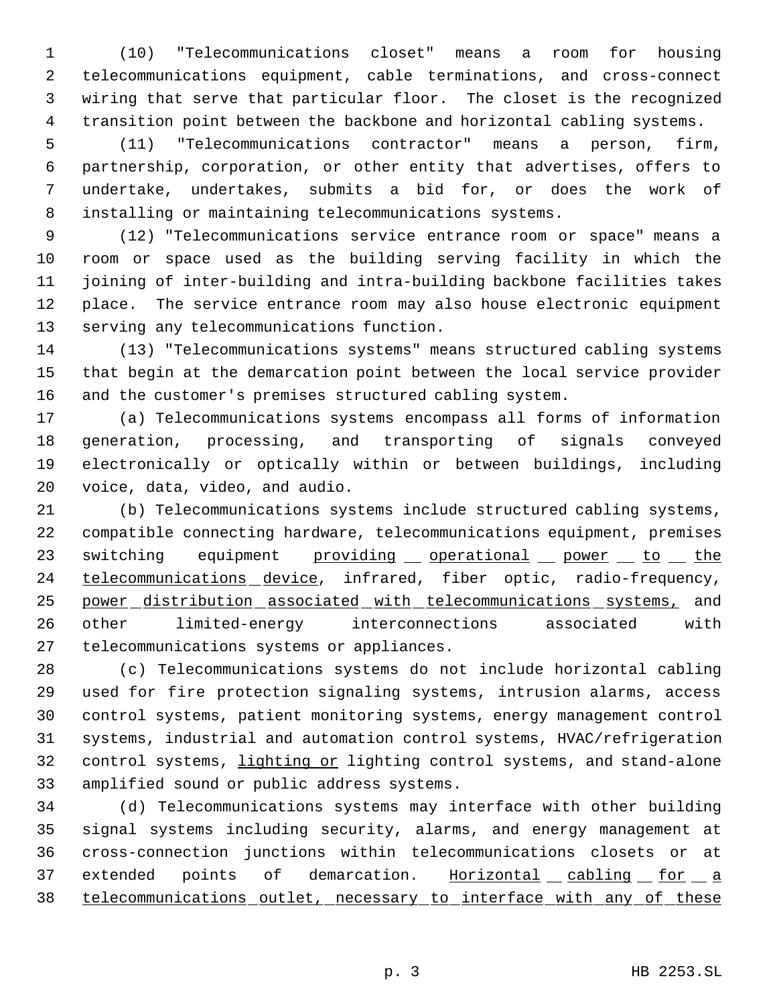(10) "Telecommunications closet" means a room for housing telecommunications equipment, cable terminations, and cross-connect wiring that serve that particular floor. The closet is the recognized transition point between the backbone and horizontal cabling systems.

 (11) "Telecommunications contractor" means a person, firm, partnership, corporation, or other entity that advertises, offers to undertake, undertakes, submits a bid for, or does the work of installing or maintaining telecommunications systems.

 (12) "Telecommunications service entrance room or space" means a room or space used as the building serving facility in which the joining of inter-building and intra-building backbone facilities takes place. The service entrance room may also house electronic equipment serving any telecommunications function.

 (13) "Telecommunications systems" means structured cabling systems that begin at the demarcation point between the local service provider and the customer's premises structured cabling system.

 (a) Telecommunications systems encompass all forms of information generation, processing, and transporting of signals conveyed electronically or optically within or between buildings, including voice, data, video, and audio.

 (b) Telecommunications systems include structured cabling systems, compatible connecting hardware, telecommunications equipment, premises 23 switching equipment providing operational power to the 24 telecommunications device, infrared, fiber optic, radio-frequency, power distribution associated with telecommunications systems, and other limited-energy interconnections associated with telecommunications systems or appliances.

 (c) Telecommunications systems do not include horizontal cabling used for fire protection signaling systems, intrusion alarms, access control systems, patient monitoring systems, energy management control systems, industrial and automation control systems, HVAC/refrigeration 32 control systems, lighting or lighting control systems, and stand-alone amplified sound or public address systems.

 (d) Telecommunications systems may interface with other building signal systems including security, alarms, and energy management at cross-connection junctions within telecommunications closets or at 37 extended points of demarcation. Horizontal cabling for a telecommunications outlet, necessary to interface with any of these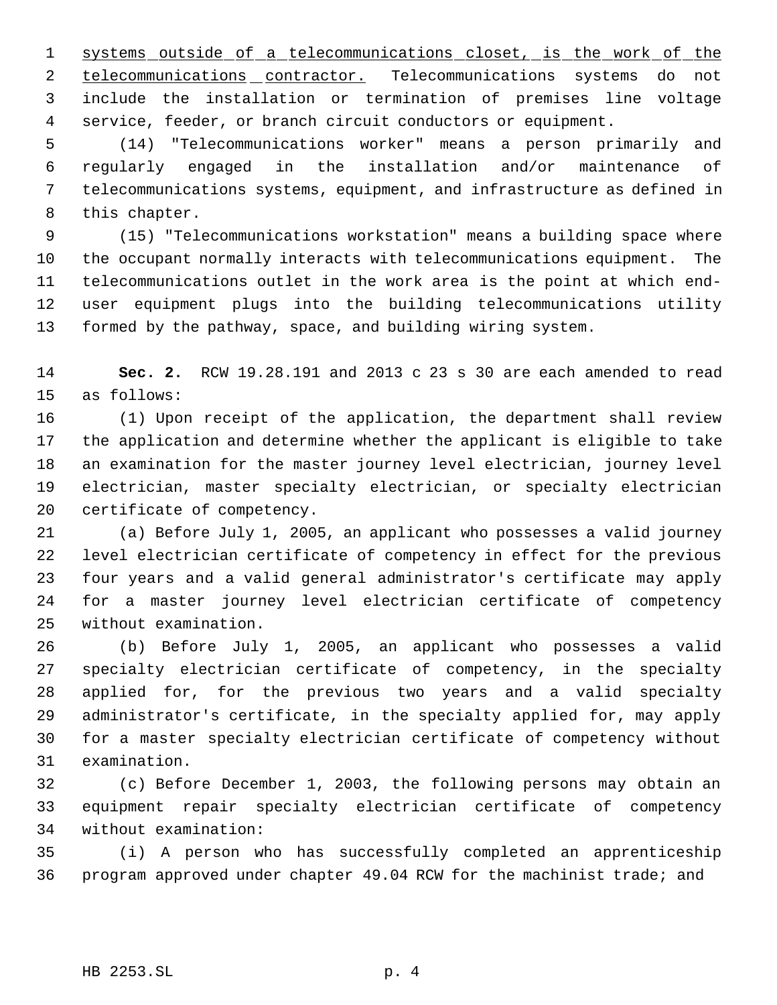1 systems outside of a telecommunications closet, is the work of the 2 telecommunications contractor. Telecommunications systems do not include the installation or termination of premises line voltage service, feeder, or branch circuit conductors or equipment.

 (14) "Telecommunications worker" means a person primarily and regularly engaged in the installation and/or maintenance of telecommunications systems, equipment, and infrastructure as defined in this chapter.

 (15) "Telecommunications workstation" means a building space where the occupant normally interacts with telecommunications equipment. The telecommunications outlet in the work area is the point at which end- user equipment plugs into the building telecommunications utility formed by the pathway, space, and building wiring system.

 **Sec. 2.** RCW 19.28.191 and 2013 c 23 s 30 are each amended to read as follows:

 (1) Upon receipt of the application, the department shall review the application and determine whether the applicant is eligible to take an examination for the master journey level electrician, journey level electrician, master specialty electrician, or specialty electrician certificate of competency.

 (a) Before July 1, 2005, an applicant who possesses a valid journey level electrician certificate of competency in effect for the previous four years and a valid general administrator's certificate may apply for a master journey level electrician certificate of competency without examination.

 (b) Before July 1, 2005, an applicant who possesses a valid specialty electrician certificate of competency, in the specialty applied for, for the previous two years and a valid specialty administrator's certificate, in the specialty applied for, may apply for a master specialty electrician certificate of competency without examination.

 (c) Before December 1, 2003, the following persons may obtain an equipment repair specialty electrician certificate of competency without examination:

 (i) A person who has successfully completed an apprenticeship program approved under chapter 49.04 RCW for the machinist trade; and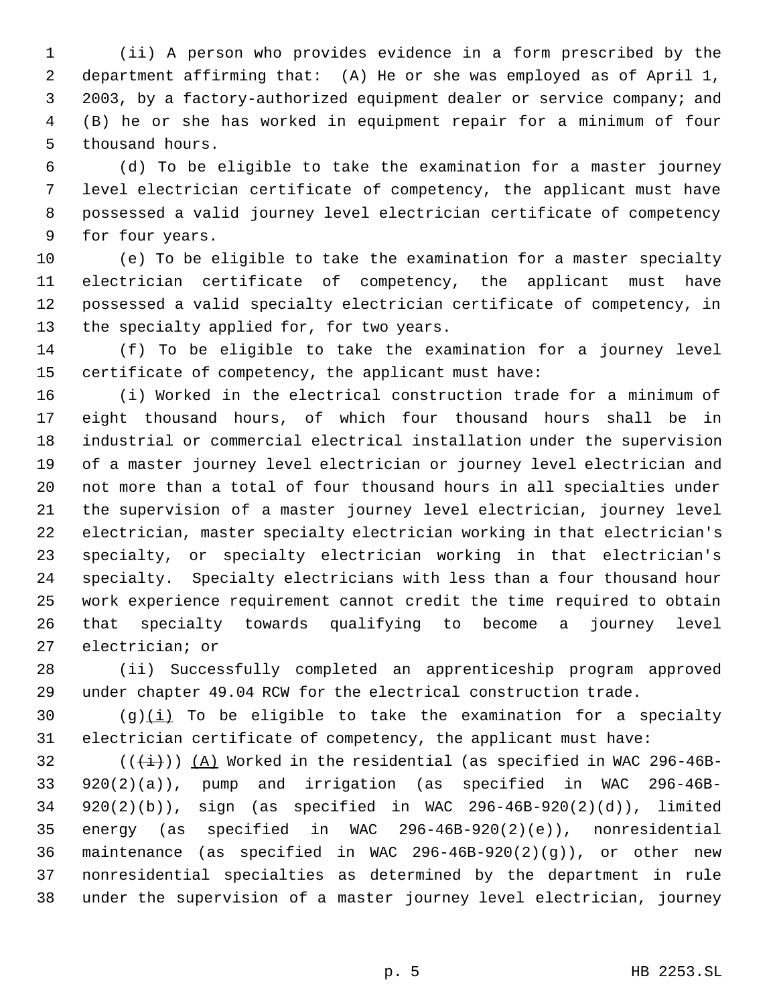(ii) A person who provides evidence in a form prescribed by the department affirming that: (A) He or she was employed as of April 1, 2003, by a factory-authorized equipment dealer or service company; and (B) he or she has worked in equipment repair for a minimum of four thousand hours.

 (d) To be eligible to take the examination for a master journey level electrician certificate of competency, the applicant must have possessed a valid journey level electrician certificate of competency for four years.

 (e) To be eligible to take the examination for a master specialty electrician certificate of competency, the applicant must have possessed a valid specialty electrician certificate of competency, in the specialty applied for, for two years.

 (f) To be eligible to take the examination for a journey level certificate of competency, the applicant must have:

 (i) Worked in the electrical construction trade for a minimum of eight thousand hours, of which four thousand hours shall be in industrial or commercial electrical installation under the supervision of a master journey level electrician or journey level electrician and not more than a total of four thousand hours in all specialties under the supervision of a master journey level electrician, journey level electrician, master specialty electrician working in that electrician's specialty, or specialty electrician working in that electrician's specialty. Specialty electricians with less than a four thousand hour work experience requirement cannot credit the time required to obtain that specialty towards qualifying to become a journey level electrician; or

 (ii) Successfully completed an apprenticeship program approved under chapter 49.04 RCW for the electrical construction trade.

30 (g) $(i)$  To be eligible to take the examination for a specialty electrician certificate of competency, the applicant must have:

32 ( $(\frac{1}{1})$ ) (A) Worked in the residential (as specified in WAC 296-46B- 920(2)(a)), pump and irrigation (as specified in WAC 296-46B- 920(2)(b)), sign (as specified in WAC 296-46B-920(2)(d)), limited energy (as specified in WAC 296-46B-920(2)(e)), nonresidential maintenance (as specified in WAC 296-46B-920(2)(g)), or other new nonresidential specialties as determined by the department in rule under the supervision of a master journey level electrician, journey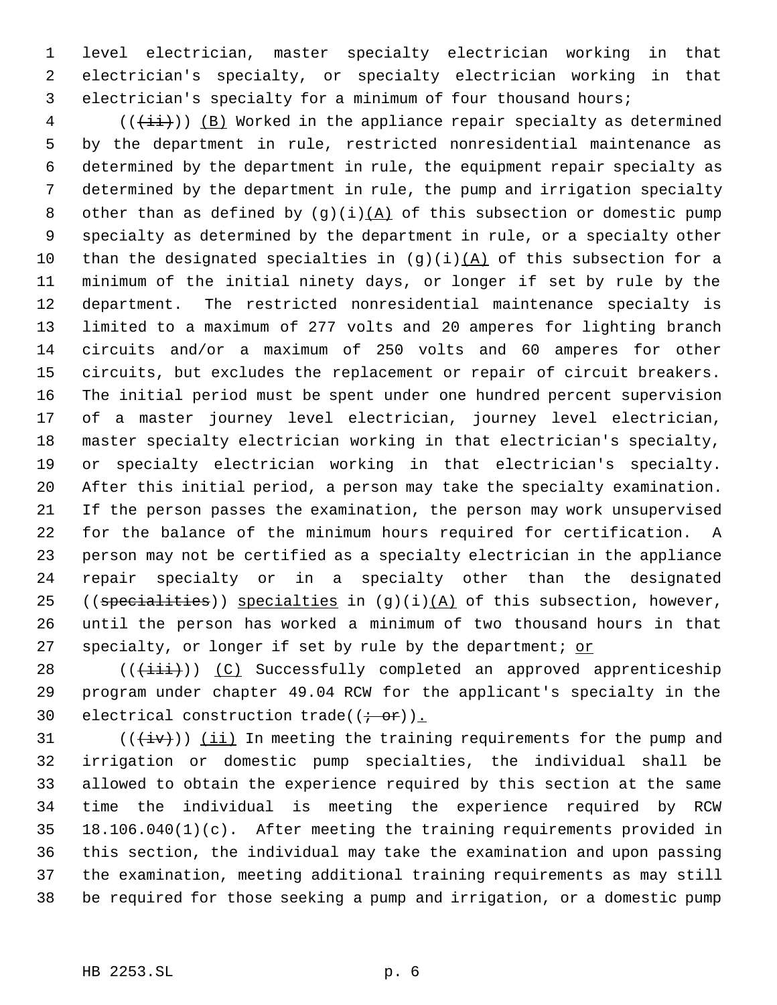level electrician, master specialty electrician working in that electrician's specialty, or specialty electrician working in that electrician's specialty for a minimum of four thousand hours;

 (( $\overleftrightarrow{(\dagger i)})$  (B) Worked in the appliance repair specialty as determined by the department in rule, restricted nonresidential maintenance as determined by the department in rule, the equipment repair specialty as determined by the department in rule, the pump and irrigation specialty 8 other than as defined by  $(g)(i)(A)$  of this subsection or domestic pump specialty as determined by the department in rule, or a specialty other 10 than the designated specialties in  $(g)(i)(A)$  of this subsection for a minimum of the initial ninety days, or longer if set by rule by the department. The restricted nonresidential maintenance specialty is limited to a maximum of 277 volts and 20 amperes for lighting branch circuits and/or a maximum of 250 volts and 60 amperes for other circuits, but excludes the replacement or repair of circuit breakers. The initial period must be spent under one hundred percent supervision of a master journey level electrician, journey level electrician, master specialty electrician working in that electrician's specialty, or specialty electrician working in that electrician's specialty. After this initial period, a person may take the specialty examination. If the person passes the examination, the person may work unsupervised for the balance of the minimum hours required for certification. A person may not be certified as a specialty electrician in the appliance repair specialty or in a specialty other than the designated 25 ((specialities)) specialties in  $(g)(i)(A)$  of this subsection, however, until the person has worked a minimum of two thousand hours in that 27 specialty, or longer if set by rule by the department; or

 (( $\overline{\{\pm i\pm}\})$ ) (C) Successfully completed an approved apprenticeship program under chapter 49.04 RCW for the applicant's specialty in the 30 electrical construction trade( $(\div -\Theta$ r)).

31 ( $(\overleftrightarrow{iv})$ ) <u>(ii)</u> In meeting the training requirements for the pump and irrigation or domestic pump specialties, the individual shall be allowed to obtain the experience required by this section at the same time the individual is meeting the experience required by RCW 18.106.040(1)(c). After meeting the training requirements provided in this section, the individual may take the examination and upon passing the examination, meeting additional training requirements as may still be required for those seeking a pump and irrigation, or a domestic pump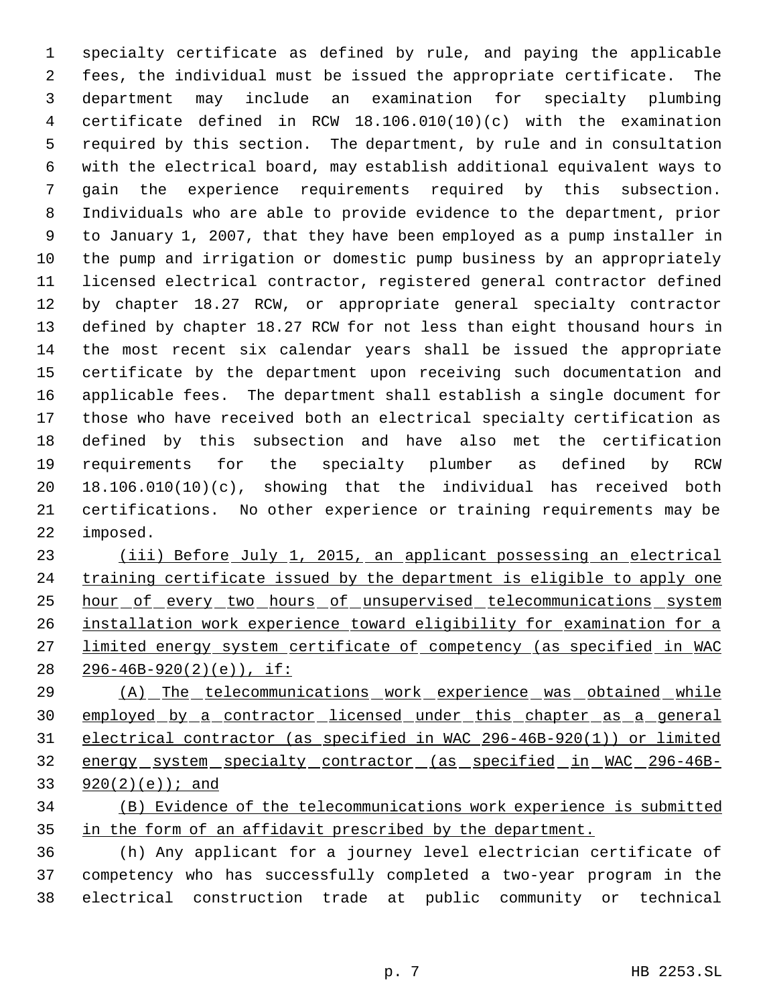specialty certificate as defined by rule, and paying the applicable fees, the individual must be issued the appropriate certificate. The department may include an examination for specialty plumbing certificate defined in RCW 18.106.010(10)(c) with the examination required by this section. The department, by rule and in consultation with the electrical board, may establish additional equivalent ways to gain the experience requirements required by this subsection. Individuals who are able to provide evidence to the department, prior to January 1, 2007, that they have been employed as a pump installer in the pump and irrigation or domestic pump business by an appropriately licensed electrical contractor, registered general contractor defined by chapter 18.27 RCW, or appropriate general specialty contractor defined by chapter 18.27 RCW for not less than eight thousand hours in the most recent six calendar years shall be issued the appropriate certificate by the department upon receiving such documentation and applicable fees. The department shall establish a single document for those who have received both an electrical specialty certification as defined by this subsection and have also met the certification requirements for the specialty plumber as defined by RCW 18.106.010(10)(c), showing that the individual has received both certifications. No other experience or training requirements may be imposed.

 (iii) Before July 1, 2015, an applicant possessing an electrical 24 training certificate issued by the department is eligible to apply one 25 hour of every two hours of unsupervised telecommunications system installation work experience toward eligibility for examination for a limited energy system certificate of competency (as specified in WAC 296-46B-920(2)(e)), if:

29 (A) The telecommunications work experience was obtained while 30 employed by a contractor licensed under this chapter as a general electrical contractor (as specified in WAC 296-46B-920(1)) or limited energy system specialty contractor (as specified in WAC 296-46B-920(2)(e)); and

# (B) Evidence of the telecommunications work experience is submitted 35 in the form of an affidavit prescribed by the department.

 (h) Any applicant for a journey level electrician certificate of competency who has successfully completed a two-year program in the electrical construction trade at public community or technical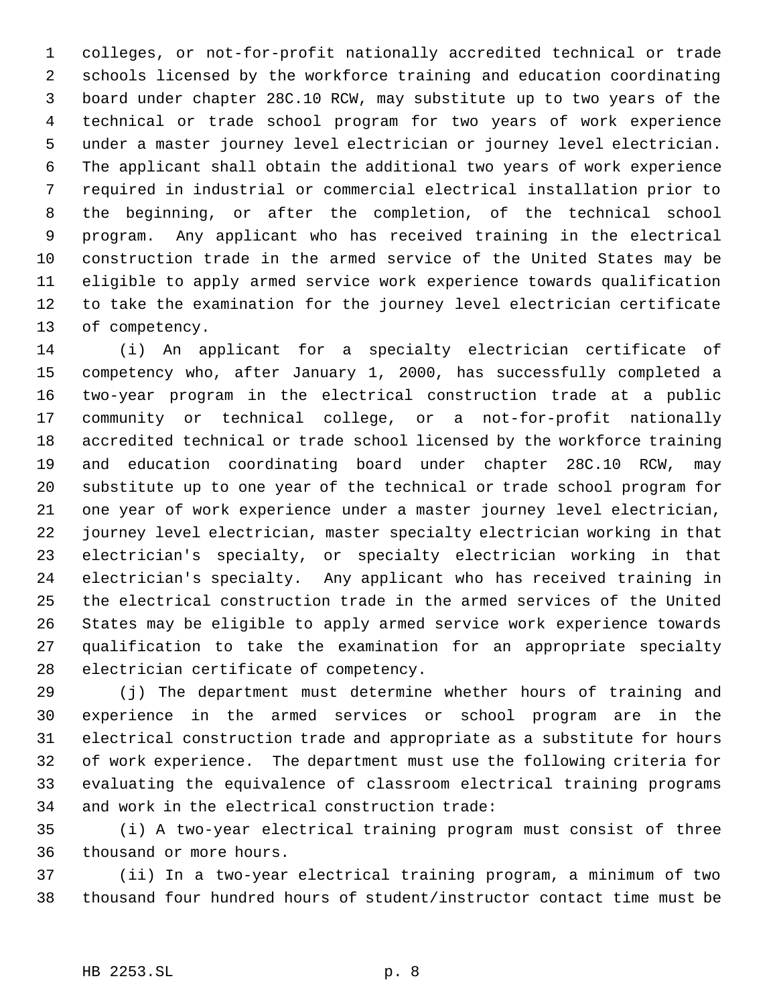colleges, or not-for-profit nationally accredited technical or trade schools licensed by the workforce training and education coordinating board under chapter 28C.10 RCW, may substitute up to two years of the technical or trade school program for two years of work experience under a master journey level electrician or journey level electrician. The applicant shall obtain the additional two years of work experience required in industrial or commercial electrical installation prior to the beginning, or after the completion, of the technical school program. Any applicant who has received training in the electrical construction trade in the armed service of the United States may be eligible to apply armed service work experience towards qualification to take the examination for the journey level electrician certificate of competency.

 (i) An applicant for a specialty electrician certificate of competency who, after January 1, 2000, has successfully completed a two-year program in the electrical construction trade at a public community or technical college, or a not-for-profit nationally accredited technical or trade school licensed by the workforce training and education coordinating board under chapter 28C.10 RCW, may substitute up to one year of the technical or trade school program for one year of work experience under a master journey level electrician, journey level electrician, master specialty electrician working in that electrician's specialty, or specialty electrician working in that electrician's specialty. Any applicant who has received training in the electrical construction trade in the armed services of the United States may be eligible to apply armed service work experience towards qualification to take the examination for an appropriate specialty electrician certificate of competency.

 (j) The department must determine whether hours of training and experience in the armed services or school program are in the electrical construction trade and appropriate as a substitute for hours of work experience. The department must use the following criteria for evaluating the equivalence of classroom electrical training programs and work in the electrical construction trade:

 (i) A two-year electrical training program must consist of three thousand or more hours.

 (ii) In a two-year electrical training program, a minimum of two thousand four hundred hours of student/instructor contact time must be